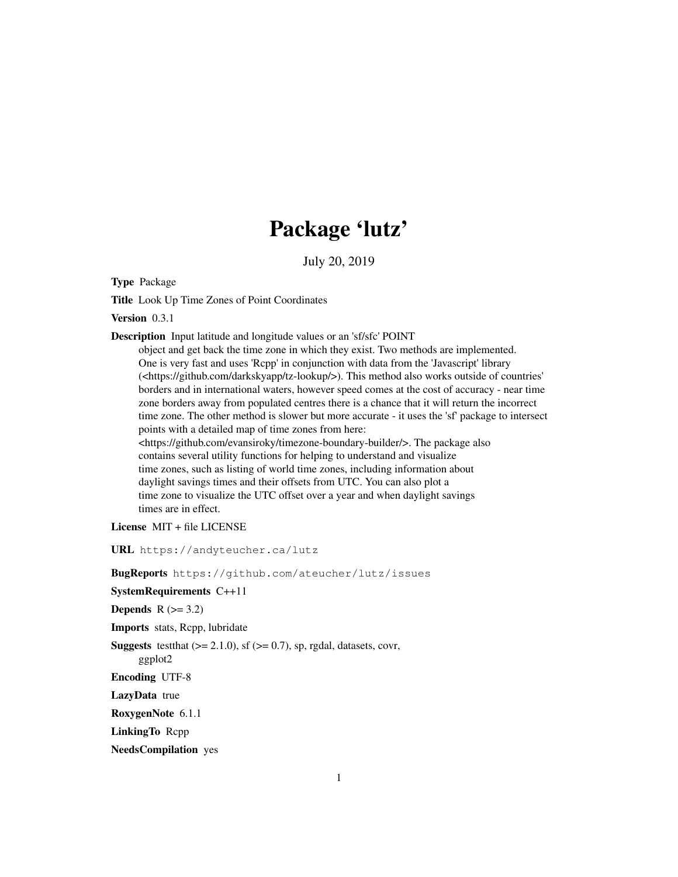# Package 'lutz'

July 20, 2019

Type Package

Title Look Up Time Zones of Point Coordinates

Version 0.3.1

Description Input latitude and longitude values or an 'sf/sfc' POINT

object and get back the time zone in which they exist. Two methods are implemented. One is very fast and uses 'Rcpp' in conjunction with data from the 'Javascript' library (<https://github.com/darkskyapp/tz-lookup/>). This method also works outside of countries' borders and in international waters, however speed comes at the cost of accuracy - near time zone borders away from populated centres there is a chance that it will return the incorrect time zone. The other method is slower but more accurate - it uses the 'sf' package to intersect points with a detailed map of time zones from here: <https://github.com/evansiroky/timezone-boundary-builder/>. The package also contains several utility functions for helping to understand and visualize time zones, such as listing of world time zones, including information about daylight savings times and their offsets from UTC. You can also plot a time zone to visualize the UTC offset over a year and when daylight savings times are in effect.

License MIT + file LICENSE

URL https://andyteucher.ca/lutz

BugReports https://github.com/ateucher/lutz/issues

SystemRequirements C++11

Depends  $R$  ( $>= 3.2$ )

Imports stats, Rcpp, lubridate

**Suggests** test that  $(>= 2.1.0)$ , sf  $(>= 0.7)$ , sp, rgdal, datasets, covr,

ggplot2

Encoding UTF-8

LazyData true

RoxygenNote 6.1.1

LinkingTo Rcpp

NeedsCompilation yes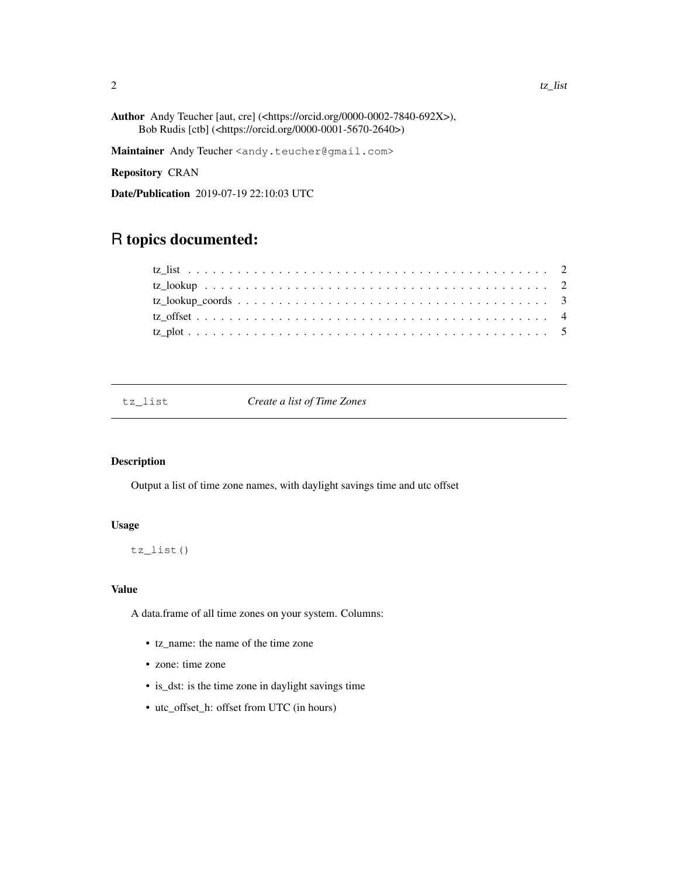Author Andy Teucher [aut, cre] (<https://orcid.org/0000-0002-7840-692X>), Bob Rudis [ctb] (<https://orcid.org/0000-0001-5670-2640>)

Maintainer Andy Teucher <andy.teucher@gmail.com>

Repository CRAN

Date/Publication 2019-07-19 22:10:03 UTC

# R topics documented:

Create a list of Time Zones

# Description

Output a list of time zone names, with daylight savings time and utc offset

### Usage

tz\_list()

# Value

A data.frame of all time zones on your system. Columns:

- tz\_name: the name of the time zone
- zone: time zone
- is\_dst: is the time zone in daylight savings time
- utc\_offset\_h: offset from UTC (in hours)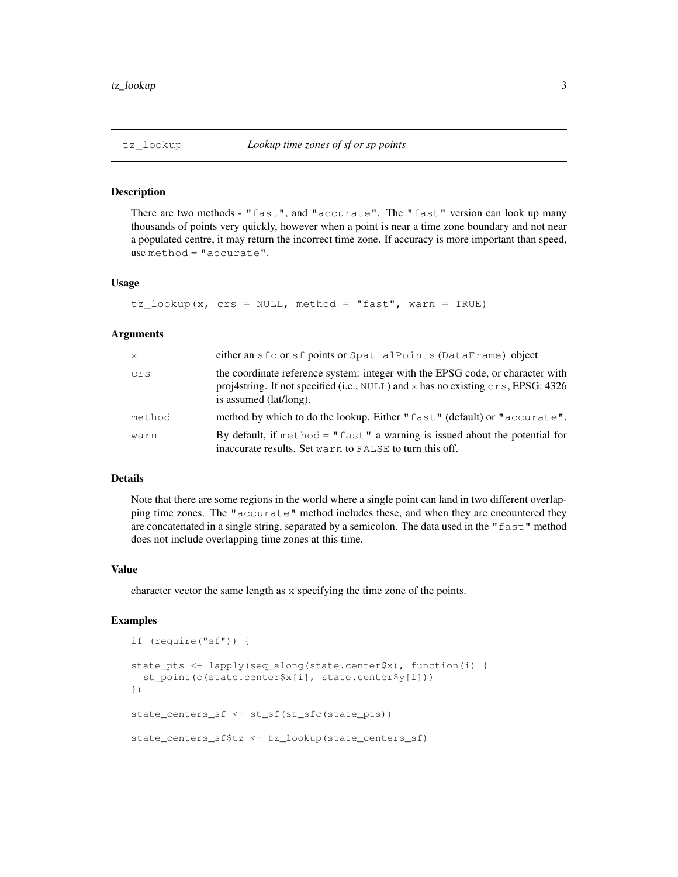#### Description

There are two methods - "fast", and "accurate". The "fast" version can look up many thousands of points very quickly, however when a point is near a time zone boundary and not near a populated centre, it may return the incorrect time zone. If accuracy is more important than speed, use method = "accurate".

#### Usage

```
tz\_\text{lookup}(x, \text{crs} = \text{NULL}, \text{method} = \text{"fast", \text{warn} = \text{TRUE}})
```
#### Arguments

| $\mathsf{x}$ | either an sfc or sf points or SpatialPoints (DataFrame) object                                                                                                                               |
|--------------|----------------------------------------------------------------------------------------------------------------------------------------------------------------------------------------------|
| crs          | the coordinate reference system: integer with the EPSG code, or character with<br>proj4string. If not specified (i.e., NULL) and x has no existing crs, EPSG: 4326<br>is assumed (lat/long). |
| method       | method by which to do the lookup. Either "fast" (default) or "accurate".                                                                                                                     |
| warn         | By default, if $method = "fast"$ a warning is issued about the potential for<br>inaccurate results. Set warn to FALSE to turn this off.                                                      |

#### Details

Note that there are some regions in the world where a single point can land in two different overlapping time zones. The "accurate" method includes these, and when they are encountered they are concatenated in a single string, separated by a semicolon. The data used in the "fast" method does not include overlapping time zones at this time.

#### Value

character vector the same length as x specifying the time zone of the points.

#### Examples

```
if (require("sf")) {
state_pts <- lapply(seq_along(state.center$x), function(i) {
 st_point(c(state.center$x[i], state.center$y[i]))
})
state_centers_sf <- st_sf(st_sfc(state_pts))
state_centers_sf$tz <- tz_lookup(state_centers_sf)
```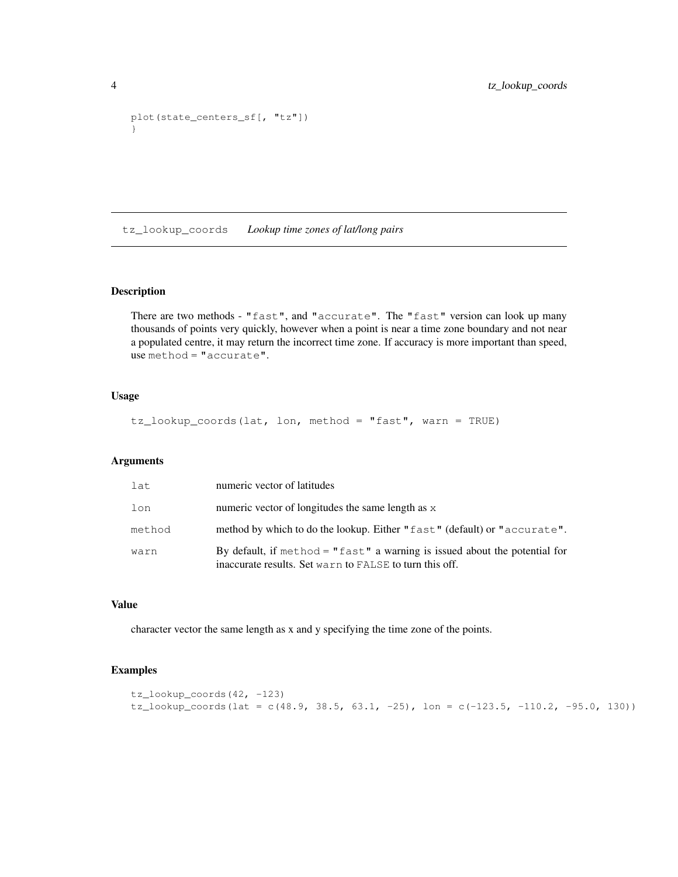```
plot(state_centers_sf[, "tz"])
}
```
tz\_lookup\_coords *Lookup time zones of lat/long pairs*

#### Description

There are two methods - "fast", and "accurate". The "fast" version can look up many thousands of points very quickly, however when a point is near a time zone boundary and not near a populated centre, it may return the incorrect time zone. If accuracy is more important than speed, use method = "accurate".

# Usage

tz\_lookup\_coords(lat, lon, method = "fast", warn = TRUE)

#### Arguments

| lat    | numeric vector of latitudes                                                                                                             |
|--------|-----------------------------------------------------------------------------------------------------------------------------------------|
| lon    | numeric vector of longitudes the same length as x                                                                                       |
| method | method by which to do the lookup. Either "fast" (default) or "accurate".                                                                |
| warn   | By default, if $method = "fast"$ a warning is issued about the potential for<br>inaccurate results. Set warn to FALSE to turn this off. |

#### Value

character vector the same length as x and y specifying the time zone of the points.

# Examples

```
tz_lookup_coords(42, -123)
tz_lookup_coords(lat = c(48.9, 38.5, 63.1, -25), lon = c(-123.5, -110.2, -95.0, 130))
```